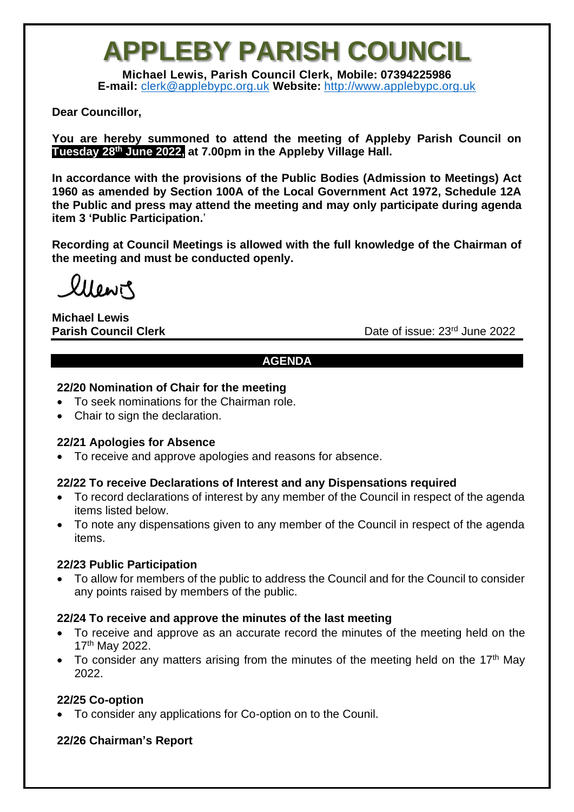## **APPLEBY PARISH COUNCIL**

**Michael Lewis, Parish Council Clerk, Mobile: 07394225986 E-mail:** [clerk@applebypc.org.uk](mailto:clerk@applebypc.org.uk) **Website:** [http://www.applebypc.org.uk](http://www.applebypc.org.uk/)

#### **Dear Councillor,**

**You are hereby summoned to attend the meeting of Appleby Parish Council on Tuesday 28th June 2022, at 7.00pm in the Appleby Village Hall.**

**In accordance with the provisions of the Public Bodies (Admission to Meetings) Act 1960 as amended by Section 100A of the Local Government Act 1972, Schedule 12A the Public and press may attend the meeting and may only participate during agenda item 3 'Public Participation.**'

**Recording at Council Meetings is allowed with the full knowledge of the Chairman of the meeting and must be conducted openly.**

llewir

**Michael Lewis**

**Parish Council Clerk** Date of issue: 23<sup>rd</sup> June 2022

#### **AGENDA**

#### **22/20 Nomination of Chair for the meeting**

- To seek nominations for the Chairman role.
- Chair to sign the declaration.

## **22/21 Apologies for Absence**

• To receive and approve apologies and reasons for absence.

## **22/22 To receive Declarations of Interest and any Dispensations required**

- To record declarations of interest by any member of the Council in respect of the agenda items listed below.
- To note any dispensations given to any member of the Council in respect of the agenda items.

#### **22/23 Public Participation**

• To allow for members of the public to address the Council and for the Council to consider any points raised by members of the public.

#### **22/24 To receive and approve the minutes of the last meeting**

- To receive and approve as an accurate record the minutes of the meeting held on the 17th May 2022.
- To consider any matters arising from the minutes of the meeting held on the 17<sup>th</sup> May 2022.

## **22/25 Co-option**

• To consider any applications for Co-option on to the Counil.

## **22/26 Chairman's Report**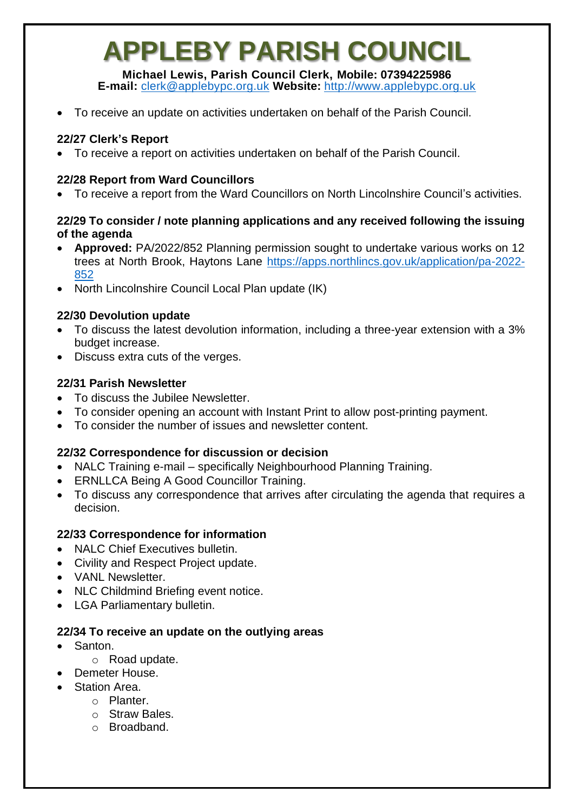## **APPLEBY PARISH COUNCIL**

**Michael Lewis, Parish Council Clerk, Mobile: 07394225986 E-mail:** [clerk@applebypc.org.uk](mailto:clerk@applebypc.org.uk) **Website:** [http://www.applebypc.org.uk](http://www.applebypc.org.uk/)

• To receive an update on activities undertaken on behalf of the Parish Council.

## **22/27 Clerk's Report**

• To receive a report on activities undertaken on behalf of the Parish Council.

## **22/28 Report from Ward Councillors**

• To receive a report from the Ward Councillors on North Lincolnshire Council's activities.

#### **22/29 To consider / note planning applications and any received following the issuing of the agenda**

- **Approved:** PA/2022/852 Planning permission sought to undertake various works on 12 trees at North Brook, Haytons Lane [https://apps.northlincs.gov.uk/application/pa-2022-](https://apps.northlincs.gov.uk/application/pa-2022-852) [852](https://apps.northlincs.gov.uk/application/pa-2022-852)
- North Lincolnshire Council Local Plan update (IK)

## **22/30 Devolution update**

- To discuss the latest devolution information, including a three-year extension with a 3% budget increase.
- Discuss extra cuts of the verges.

## **22/31 Parish Newsletter**

- To discuss the Jubilee Newsletter.
- To consider opening an account with Instant Print to allow post-printing payment.
- To consider the number of issues and newsletter content.

## **22/32 Correspondence for discussion or decision**

- NALC Training e-mail specifically Neighbourhood Planning Training.
- ERNLLCA Being A Good Councillor Training.
- To discuss any correspondence that arrives after circulating the agenda that requires a decision.

## **22/33 Correspondence for information**

- NALC Chief Executives bulletin.
- Civility and Respect Project update.
- VANI Newsletter
- NLC Childmind Briefing event notice.
- LGA Parliamentary bulletin.

## **22/34 To receive an update on the outlying areas**

- Santon.
	- o Road update.
- Demeter House.
- Station Area.
	- o Planter.
	- o Straw Bales.
	- o Broadband.